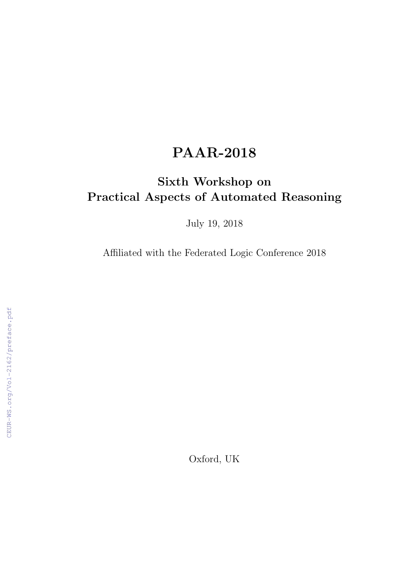# PAAR-2018

## Sixth Workshop on Practical Aspects of Automated Reasoning

July 19, 2018

Affiliated with the Federated Logic Conference 2018

Oxford, UK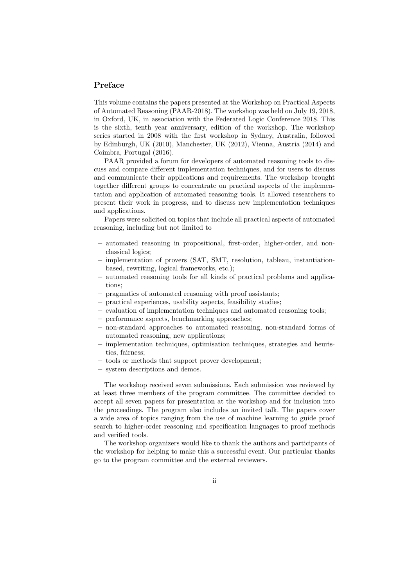#### Preface

This volume contains the papers presented at the Workshop on Practical Aspects of Automated Reasoning (PAAR-2018). The workshop was held on July 19, 2018, in Oxford, UK, in association with the Federated Logic Conference 2018. This is the sixth, tenth year anniversary, edition of the workshop. The workshop series started in 2008 with the first workshop in Sydney, Australia, followed by Edinburgh, UK (2010), Manchester, UK (2012), Vienna, Austria (2014) and Coimbra, Portugal (2016).

PAAR provided a forum for developers of automated reasoning tools to discuss and compare different implementation techniques, and for users to discuss and communicate their applications and requirements. The workshop brought together different groups to concentrate on practical aspects of the implementation and application of automated reasoning tools. It allowed researchers to present their work in progress, and to discuss new implementation techniques and applications.

Papers were solicited on topics that include all practical aspects of automated reasoning, including but not limited to

- automated reasoning in propositional, first-order, higher-order, and nonclassical logics;
- implementation of provers (SAT, SMT, resolution, tableau, instantiationbased, rewriting, logical frameworks, etc.);
- automated reasoning tools for all kinds of practical problems and applications;
- pragmatics of automated reasoning with proof assistants;
- practical experiences, usability aspects, feasibility studies;
- evaluation of implementation techniques and automated reasoning tools;
- performance aspects, benchmarking approaches;
- non-standard approaches to automated reasoning, non-standard forms of automated reasoning, new applications;
- implementation techniques, optimisation techniques, strategies and heuristics, fairness;
- tools or methods that support prover development;
- system descriptions and demos.

The workshop received seven submissions. Each submission was reviewed by at least three members of the program committee. The committee decided to accept all seven papers for presentation at the workshop and for inclusion into the proceedings. The program also includes an invited talk. The papers cover a wide area of topics ranging from the use of machine learning to guide proof search to higher-order reasoning and specification languages to proof methods and verified tools.

The workshop organizers would like to thank the authors and participants of the workshop for helping to make this a successful event. Our particular thanks go to the program committee and the external reviewers.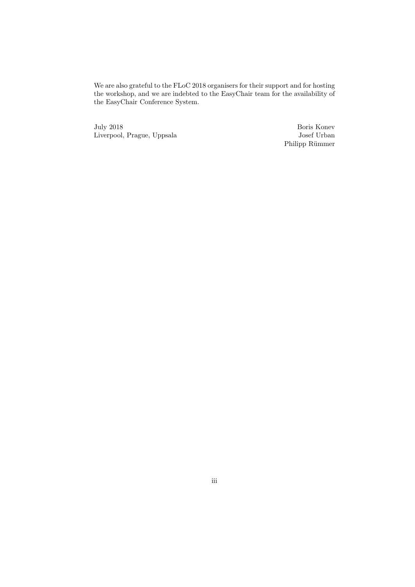We are also grateful to the FLoC 2018 organisers for their support and for hosting the workshop, and we are indebted to the EasyChair team for the availability of the EasyChair Conference System.

July 2018 Liverpool, Prague, Uppsala

Boris Konev Josef Urban Philipp Rümmer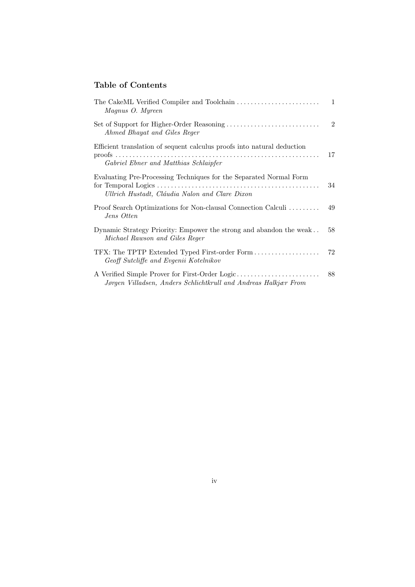#### Table of Contents

| Magnus O. Myreen                                                                                                     | $\mathbf{1}$   |
|----------------------------------------------------------------------------------------------------------------------|----------------|
| Ahmed Bhayat and Giles Reger                                                                                         | $\overline{2}$ |
| Efficient translation of sequent calculus proofs into natural deduction                                              | 17             |
| Gabriel Ebner and Matthias Schlaipfer                                                                                |                |
| Evaluating Pre-Processing Techniques for the Separated Normal Form<br>Ullrich Hustadt, Cláudia Nalon and Clare Dixon | 34             |
| Proof Search Optimizations for Non-clausal Connection Calculi<br>Jens Otten                                          | 49             |
| Dynamic Strategy Priority: Empower the strong and abandon the weak<br>Michael Rawson and Giles Reger                 | 58             |
| TFX: The TPTP Extended Typed First-order Form<br>Geoff Sutcliffe and Evgenii Kotelnikov                              | 72             |
| A Verified Simple Prover for First-Order Logic<br>Jørgen Villadsen, Anders Schlichtkrull and Andreas Halkjær From    | 88             |
|                                                                                                                      |                |